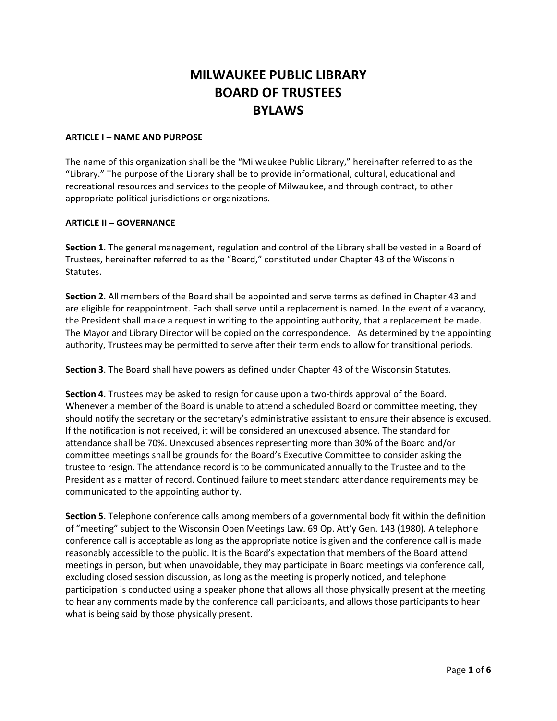# **MILWAUKEE PUBLIC LIBRARY BOARD OF TRUSTEES BYLAWS**

## **ARTICLE I – NAME AND PURPOSE**

The name of this organization shall be the "Milwaukee Public Library," hereinafter referred to as the "Library." The purpose of the Library shall be to provide informational, cultural, educational and recreational resources and services to the people of Milwaukee, and through contract, to other appropriate political jurisdictions or organizations.

# **ARTICLE II – GOVERNANCE**

**Section 1**. The general management, regulation and control of the Library shall be vested in a Board of Trustees, hereinafter referred to as the "Board," constituted under Chapter 43 of the Wisconsin Statutes.

**Section 2**. All members of the Board shall be appointed and serve terms as defined in Chapter 43 and are eligible for reappointment. Each shall serve until a replacement is named. In the event of a vacancy, the President shall make a request in writing to the appointing authority, that a replacement be made. The Mayor and Library Director will be copied on the correspondence. As determined by the appointing authority, Trustees may be permitted to serve after their term ends to allow for transitional periods.

**Section 3**. The Board shall have powers as defined under Chapter 43 of the Wisconsin Statutes.

**Section 4**. Trustees may be asked to resign for cause upon a two-thirds approval of the Board. Whenever a member of the Board is unable to attend a scheduled Board or committee meeting, they should notify the secretary or the secretary's administrative assistant to ensure their absence is excused. If the notification is not received, it will be considered an unexcused absence. The standard for attendance shall be 70%. Unexcused absences representing more than 30% of the Board and/or committee meetings shall be grounds for the Board's Executive Committee to consider asking the trustee to resign. The attendance record is to be communicated annually to the Trustee and to the President as a matter of record. Continued failure to meet standard attendance requirements may be communicated to the appointing authority.

**Section 5**. Telephone conference calls among members of a governmental body fit within the definition of "meeting" subject to the Wisconsin Open Meetings Law. 69 Op. Att'y Gen. 143 (1980). A telephone conference call is acceptable as long as the appropriate notice is given and the conference call is made reasonably accessible to the public. It is the Board's expectation that members of the Board attend meetings in person, but when unavoidable, they may participate in Board meetings via conference call, excluding closed session discussion, as long as the meeting is properly noticed, and telephone participation is conducted using a speaker phone that allows all those physically present at the meeting to hear any comments made by the conference call participants, and allows those participants to hear what is being said by those physically present.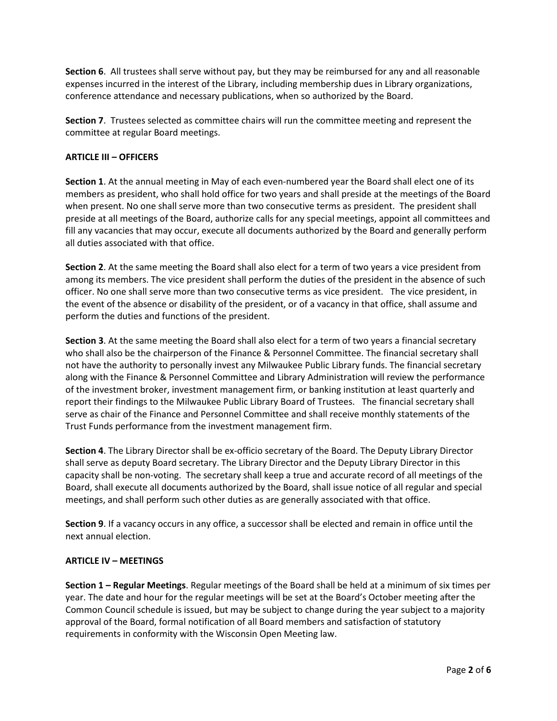**Section 6**. All trustees shall serve without pay, but they may be reimbursed for any and all reasonable expenses incurred in the interest of the Library, including membership dues in Library organizations, conference attendance and necessary publications, when so authorized by the Board.

**Section 7**. Trustees selected as committee chairs will run the committee meeting and represent the committee at regular Board meetings.

# **ARTICLE III – OFFICERS**

**Section 1**. At the annual meeting in May of each even-numbered year the Board shall elect one of its members as president, who shall hold office for two years and shall preside at the meetings of the Board when present. No one shall serve more than two consecutive terms as president. The president shall preside at all meetings of the Board, authorize calls for any special meetings, appoint all committees and fill any vacancies that may occur, execute all documents authorized by the Board and generally perform all duties associated with that office.

**Section 2**. At the same meeting the Board shall also elect for a term of two years a vice president from among its members. The vice president shall perform the duties of the president in the absence of such officer. No one shall serve more than two consecutive terms as vice president. The vice president, in the event of the absence or disability of the president, or of a vacancy in that office, shall assume and perform the duties and functions of the president.

**Section 3**. At the same meeting the Board shall also elect for a term of two years a financial secretary who shall also be the chairperson of the Finance & Personnel Committee. The financial secretary shall not have the authority to personally invest any Milwaukee Public Library funds. The financial secretary along with the Finance & Personnel Committee and Library Administration will review the performance of the investment broker, investment management firm, or banking institution at least quarterly and report their findings to the Milwaukee Public Library Board of Trustees. The financial secretary shall serve as chair of the Finance and Personnel Committee and shall receive monthly statements of the Trust Funds performance from the investment management firm.

**Section 4**. The Library Director shall be ex-officio secretary of the Board. The Deputy Library Director shall serve as deputy Board secretary. The Library Director and the Deputy Library Director in this capacity shall be non-voting. The secretary shall keep a true and accurate record of all meetings of the Board, shall execute all documents authorized by the Board, shall issue notice of all regular and special meetings, and shall perform such other duties as are generally associated with that office.

**Section 9**. If a vacancy occurs in any office, a successor shall be elected and remain in office until the next annual election.

#### **ARTICLE IV – MEETINGS**

**Section 1 – Regular Meetings**. Regular meetings of the Board shall be held at a minimum of six times per year. The date and hour for the regular meetings will be set at the Board's October meeting after the Common Council schedule is issued, but may be subject to change during the year subject to a majority approval of the Board, formal notification of all Board members and satisfaction of statutory requirements in conformity with the Wisconsin Open Meeting law.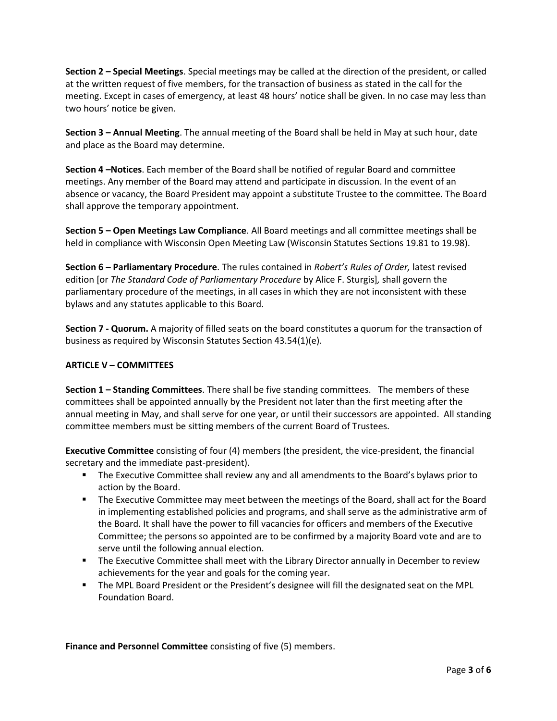**Section 2 – Special Meetings**. Special meetings may be called at the direction of the president, or called at the written request of five members, for the transaction of business as stated in the call for the meeting. Except in cases of emergency, at least 48 hours' notice shall be given. In no case may less than two hours' notice be given.

**Section 3 – Annual Meeting**. The annual meeting of the Board shall be held in May at such hour, date and place as the Board may determine.

**Section 4 –Notices**. Each member of the Board shall be notified of regular Board and committee meetings. Any member of the Board may attend and participate in discussion. In the event of an absence or vacancy, the Board President may appoint a substitute Trustee to the committee. The Board shall approve the temporary appointment.

**Section 5 – Open Meetings Law Compliance**. All Board meetings and all committee meetings shall be held in compliance with Wisconsin Open Meeting Law (Wisconsin Statutes Sections 19.81 to 19.98).

**Section 6 – Parliamentary Procedure**. The rules contained in *Robert's Rules of Order,* latest revised edition [or *The Standard Code of Parliamentary Procedure* by Alice F. Sturgis]*,* shall govern the parliamentary procedure of the meetings, in all cases in which they are not inconsistent with these bylaws and any statutes applicable to this Board.

**Section 7 - Quorum.** A majority of filled seats on the board constitutes a quorum for the transaction of business as required by Wisconsin Statutes Section 43.54(1)(e).

# **ARTICLE V – COMMITTEES**

**Section 1 – Standing Committees**. There shall be five standing committees. The members of these committees shall be appointed annually by the President not later than the first meeting after the annual meeting in May, and shall serve for one year, or until their successors are appointed. All standing committee members must be sitting members of the current Board of Trustees.

**Executive Committee** consisting of four (4) members (the president, the vice-president, the financial secretary and the immediate past-president).

- **The Executive Committee shall review any and all amendments to the Board's bylaws prior to** action by the Board.
- **The Executive Committee may meet between the meetings of the Board, shall act for the Board** in implementing established policies and programs, and shall serve as the administrative arm of the Board. It shall have the power to fill vacancies for officers and members of the Executive Committee; the persons so appointed are to be confirmed by a majority Board vote and are to serve until the following annual election.
- **The Executive Committee shall meet with the Library Director annually in December to review** achievements for the year and goals for the coming year.
- The MPL Board President or the President's designee will fill the designated seat on the MPL Foundation Board.

**Finance and Personnel Committee** consisting of five (5) members.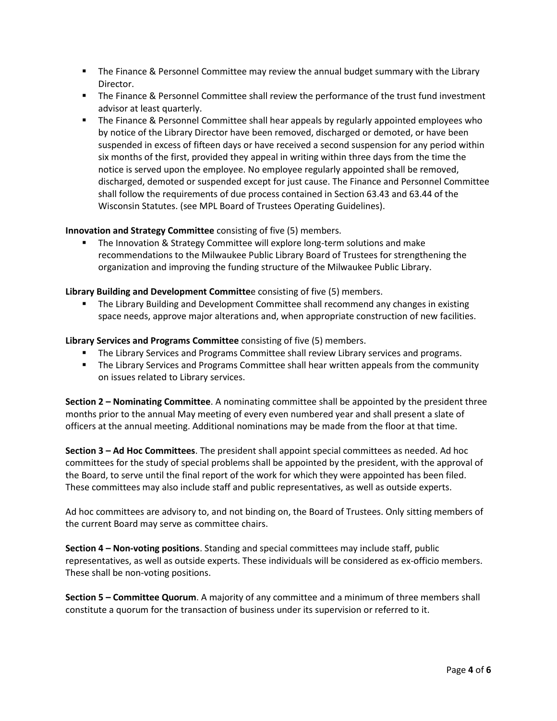- **The Finance & Personnel Committee may review the annual budget summary with the Library** Director.
- The Finance & Personnel Committee shall review the performance of the trust fund investment advisor at least quarterly.
- **The Finance & Personnel Committee shall hear appeals by regularly appointed employees who** by notice of the Library Director have been removed, discharged or demoted, or have been suspended in excess of fifteen days or have received a second suspension for any period within six months of the first, provided they appeal in writing within three days from the time the notice is served upon the employee. No employee regularly appointed shall be removed, discharged, demoted or suspended except for just cause. The Finance and Personnel Committee shall follow the requirements of due process contained in Section 63.43 and 63.44 of the Wisconsin Statutes. (see MPL Board of Trustees Operating Guidelines).

# **Innovation and Strategy Committee** consisting of five (5) members.

 The Innovation & Strategy Committee will explore long-term solutions and make recommendations to the Milwaukee Public Library Board of Trustees for strengthening the organization and improving the funding structure of the Milwaukee Public Library.

# **Library Building and Development Committe**e consisting of five (5) members.

**The Library Building and Development Committee shall recommend any changes in existing** space needs, approve major alterations and, when appropriate construction of new facilities.

# **Library Services and Programs Committee** consisting of five (5) members.

- **The Library Services and Programs Committee shall review Library services and programs.**
- **The Library Services and Programs Committee shall hear written appeals from the community** on issues related to Library services.

**Section 2 – Nominating Committee**. A nominating committee shall be appointed by the president three months prior to the annual May meeting of every even numbered year and shall present a slate of officers at the annual meeting. Additional nominations may be made from the floor at that time.

**Section 3 – Ad Hoc Committees**. The president shall appoint special committees as needed. Ad hoc committees for the study of special problems shall be appointed by the president, with the approval of the Board, to serve until the final report of the work for which they were appointed has been filed. These committees may also include staff and public representatives, as well as outside experts.

Ad hoc committees are advisory to, and not binding on, the Board of Trustees. Only sitting members of the current Board may serve as committee chairs.

**Section 4 – Non-voting positions**. Standing and special committees may include staff, public representatives, as well as outside experts. These individuals will be considered as ex-officio members. These shall be non-voting positions.

**Section 5 – Committee Quorum**. A majority of any committee and a minimum of three members shall constitute a quorum for the transaction of business under its supervision or referred to it.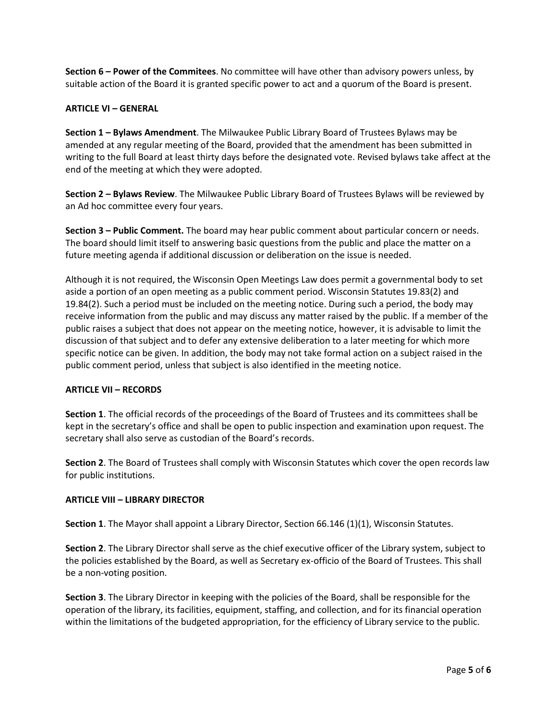**Section 6 – Power of the Commitees**. No committee will have other than advisory powers unless, by suitable action of the Board it is granted specific power to act and a quorum of the Board is present.

## **ARTICLE VI – GENERAL**

**Section 1 – Bylaws Amendment**. The Milwaukee Public Library Board of Trustees Bylaws may be amended at any regular meeting of the Board, provided that the amendment has been submitted in writing to the full Board at least thirty days before the designated vote. Revised bylaws take affect at the end of the meeting at which they were adopted.

**Section 2 – Bylaws Review**. The Milwaukee Public Library Board of Trustees Bylaws will be reviewed by an Ad hoc committee every four years.

**Section 3 – Public Comment.** The board may hear public comment about particular concern or needs. The board should limit itself to answering basic questions from the public and place the matter on a future meeting agenda if additional discussion or deliberation on the issue is needed.

Although it is not required, the Wisconsin Open Meetings Law does permit a governmental body to set aside a portion of an open meeting as a public comment period. Wisconsin Statutes 19.83(2) and 19.84(2). Such a period must be included on the meeting notice. During such a period, the body may receive information from the public and may discuss any matter raised by the public. If a member of the public raises a subject that does not appear on the meeting notice, however, it is advisable to limit the discussion of that subject and to defer any extensive deliberation to a later meeting for which more specific notice can be given. In addition, the body may not take formal action on a subject raised in the public comment period, unless that subject is also identified in the meeting notice.

# **ARTICLE VII – RECORDS**

**Section 1**. The official records of the proceedings of the Board of Trustees and its committees shall be kept in the secretary's office and shall be open to public inspection and examination upon request. The secretary shall also serve as custodian of the Board's records.

**Section 2**. The Board of Trustees shall comply with Wisconsin Statutes which cover the open records law for public institutions.

# **ARTICLE VIII – LIBRARY DIRECTOR**

**Section 1**. The Mayor shall appoint a Library Director, Section 66.146 (1)(1), Wisconsin Statutes.

**Section 2**. The Library Director shall serve as the chief executive officer of the Library system, subject to the policies established by the Board, as well as Secretary ex-officio of the Board of Trustees. This shall be a non-voting position.

**Section 3**. The Library Director in keeping with the policies of the Board, shall be responsible for the operation of the library, its facilities, equipment, staffing, and collection, and for its financial operation within the limitations of the budgeted appropriation, for the efficiency of Library service to the public.